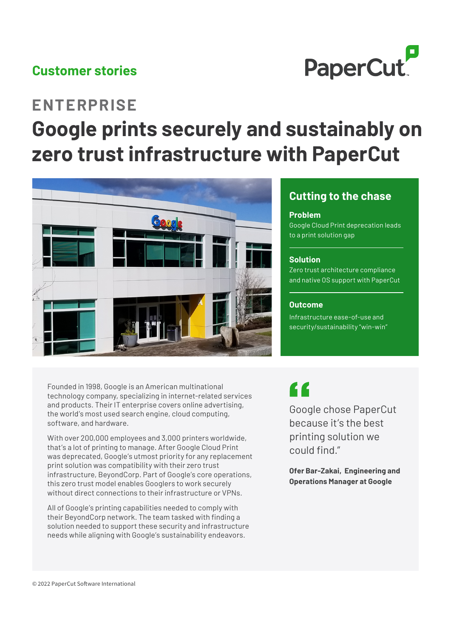## **Customer stories**



# **ENTERPRISE Google prints securely and sustainably on zero trust infrastructure with PaperCut**



Founded in 1998, Google is an American multinational technology company, specializing in internet-related services and products. Their IT enterprise covers online advertising, the world's most used search engine, cloud computing, software, and hardware.

With over 200,000 employees and 3,000 printers worldwide, that's a lot of printing to manage. After Google Cloud Print was deprecated, Google's utmost priority for any replacement print solution was compatibility with their zero trust infrastructure, BeyondCorp. Part of Google's core operations, this zero trust model enables Googlers to work securely without direct connections to their infrastructure or VPNs.

All of Google's printing capabilities needed to comply with their BeyondCorp network. The team tasked with finding a solution needed to support these security and infrastructure needs while aligning with Google's sustainability endeavors.

## **Cutting to the chase**

#### **Problem**

Google Cloud Print deprecation leads to a print solution gap

#### **Solution**

Zero trust architecture compliance and native OS support with PaperCut

#### **Outcome**

Infrastructure ease-of-use and security/sustainability "win-win"

 $\epsilon$ 

Google chose PaperCut because it's the best printing solution we could find."

**Ofer Bar-Zakai, Engineering and Operations Manager at Google**